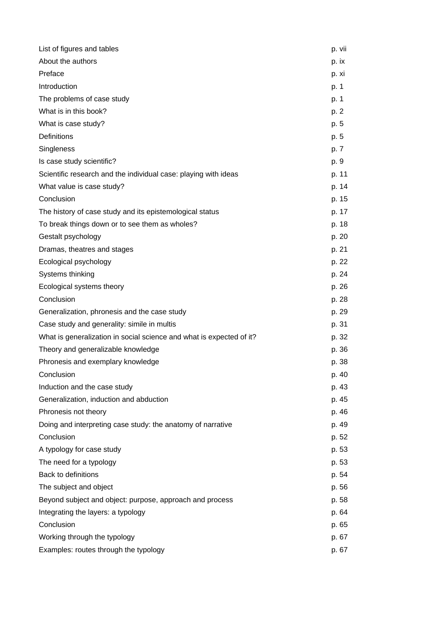| List of figures and tables                                           | p. vii |
|----------------------------------------------------------------------|--------|
| About the authors                                                    | p. ix  |
| Preface                                                              | p. xi  |
| Introduction                                                         | p. 1   |
| The problems of case study                                           | p. 1   |
| What is in this book?                                                | p. 2   |
| What is case study?                                                  | p. 5   |
| Definitions                                                          | p. 5   |
| Singleness                                                           | p. 7   |
| Is case study scientific?                                            | p. 9   |
| Scientific research and the individual case: playing with ideas      | p. 11  |
| What value is case study?                                            | p. 14  |
| Conclusion                                                           | p. 15  |
| The history of case study and its epistemological status             | p. 17  |
| To break things down or to see them as wholes?                       | p. 18  |
| Gestalt psychology                                                   | p. 20  |
| Dramas, theatres and stages                                          | p. 21  |
| Ecological psychology                                                | p. 22  |
| Systems thinking                                                     | p. 24  |
| Ecological systems theory                                            | p. 26  |
| Conclusion                                                           | p. 28  |
| Generalization, phronesis and the case study                         | p. 29  |
| Case study and generality: simile in multis                          | p. 31  |
| What is generalization in social science and what is expected of it? | p. 32  |
| Theory and generalizable knowledge                                   | p. 36  |
| Phronesis and exemplary knowledge                                    | p. 38  |
| Conclusion                                                           | p. 40  |
| Induction and the case study                                         | p. 43  |
| Generalization, induction and abduction                              | p. 45  |
| Phronesis not theory                                                 | p. 46  |
| Doing and interpreting case study: the anatomy of narrative          | p. 49  |
| Conclusion                                                           | p. 52  |
| A typology for case study                                            | p. 53  |
| The need for a typology                                              | p. 53  |
| Back to definitions                                                  | p. 54  |
| The subject and object                                               | p. 56  |
| Beyond subject and object: purpose, approach and process             | p. 58  |
| Integrating the layers: a typology                                   | p. 64  |
| Conclusion                                                           | p. 65  |
| Working through the typology                                         | p. 67  |
| Examples: routes through the typology                                | p. 67  |